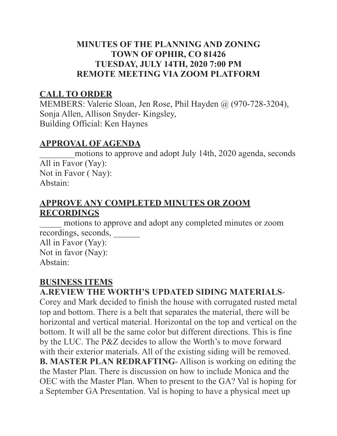#### **MINUTES OF THE PLANNING AND ZONING TOWN OF OPHIR, CO 81426 TUESDAY, JULY 14TH, 2020 7:00 PM REMOTE MEETING VIA ZOOM PLATFORM**

## **CALL TO ORDER**

MEMBERS: Valerie Sloan, Jen Rose, Phil Hayden @ (970-728-3204), Sonja Allen, Allison Snyder- Kingsley, Building Official: Ken Haynes

### **APPROVAL OF AGENDA**

motions to approve and adopt July 14th, 2020 agenda, seconds All in Favor (Yay): Not in Favor ( Nay): Abstain:

## **APPROVE ANY COMPLETED MINUTES OR ZOOM RECORDINGS**

motions to approve and adopt any completed minutes or zoom recordings, seconds, \_\_\_\_\_\_ All in Favor (Yay):

Not in favor (Nay): Abstain:

# **BUSINESS ITEMS**

**A.REVIEW THE WORTH'S UPDATED SIDING MATERIALS**-

Corey and Mark decided to finish the house with corrugated rusted metal top and bottom. There is a belt that separates the material, there will be horizontal and vertical material. Horizontal on the top and vertical on the bottom. It will all be the same color but different directions. This is fine by the LUC. The P&Z decides to allow the Worth's to move forward with their exterior materials. All of the existing siding will be removed. **B. MASTER PLAN REDRAFTING**- Allison is working on editing the the Master Plan. There is discussion on how to include Monica and the OEC with the Master Plan. When to present to the GA? Val is hoping for a September GA Presentation. Val is hoping to have a physical meet up